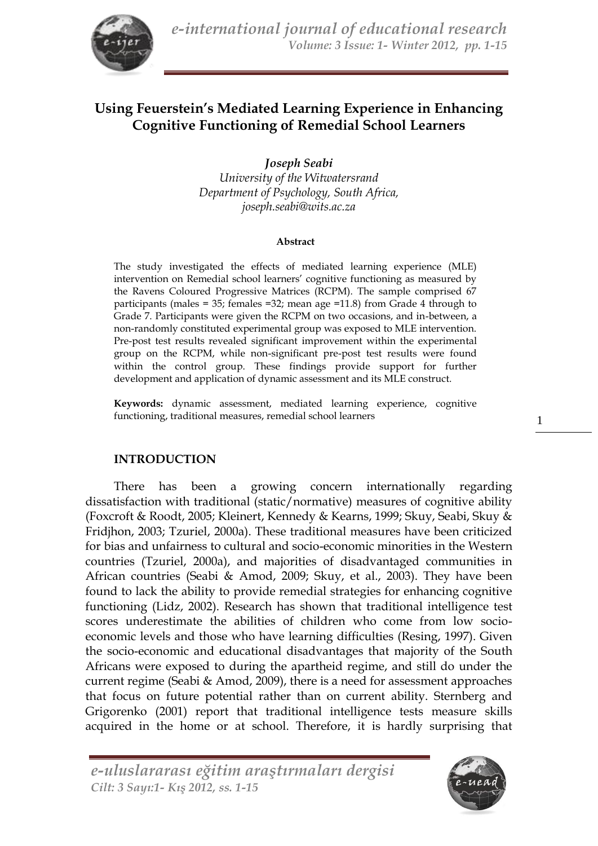

# **Using Feuerstein's Mediated Learning Experience in Enhancing Cognitive Functioning of Remedial School Learners**

*Joseph Seabi University of the Witwatersrand Department of Psychology, South Africa, joseph.seabi@wits.ac.za*

#### **Abstract**

The study investigated the effects of mediated learning experience (MLE) intervention on Remedial school learners' cognitive functioning as measured by the Ravens Coloured Progressive Matrices (RCPM). The sample comprised 67 participants (males = 35; females = 32; mean age = 11.8) from Grade 4 through to Grade 7. Participants were given the RCPM on two occasions, and in-between, a non-randomly constituted experimental group was exposed to MLE intervention. Pre-post test results revealed significant improvement within the experimental group on the RCPM, while non-significant pre-post test results were found within the control group. These findings provide support for further development and application of dynamic assessment and its MLE construct.

**Keywords:** dynamic assessment, mediated learning experience, cognitive functioning, traditional measures, remedial school learners

#### **INTRODUCTION**

There has been a growing concern internationally regarding dissatisfaction with traditional (static/normative) measures of cognitive ability (Foxcroft & Roodt, 2005; Kleinert, Kennedy & Kearns, 1999; Skuy, Seabi, Skuy & Fridjhon, 2003; Tzuriel, 2000a). These traditional measures have been criticized for bias and unfairness to cultural and socio-economic minorities in the Western countries (Tzuriel, 2000a), and majorities of disadvantaged communities in African countries (Seabi & Amod, 2009; Skuy, et al., 2003). They have been found to lack the ability to provide remedial strategies for enhancing cognitive functioning (Lidz, 2002). Research has shown that traditional intelligence test scores underestimate the abilities of children who come from low socioeconomic levels and those who have learning difficulties (Resing, 1997). Given the socio-economic and educational disadvantages that majority of the South Africans were exposed to during the apartheid regime, and still do under the current regime (Seabi & Amod, 2009), there is a need for assessment approaches that focus on future potential rather than on current ability. Sternberg and Grigorenko (2001) report that traditional intelligence tests measure skills acquired in the home or at school. Therefore, it is hardly surprising that

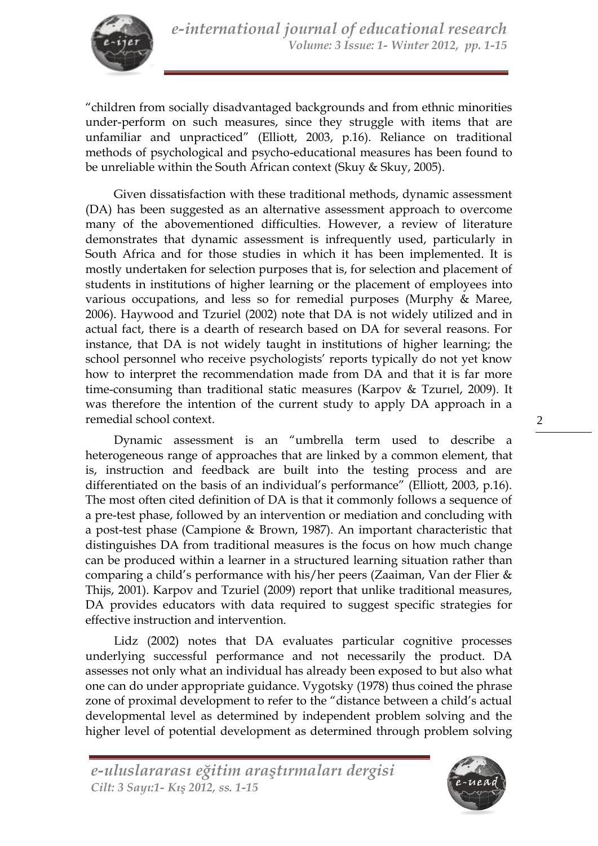

"children from socially disadvantaged backgrounds and from ethnic minorities under-perform on such measures, since they struggle with items that are unfamiliar and unpracticed" (Elliott, 2003, p.16). Reliance on traditional methods of psychological and psycho-educational measures has been found to be unreliable within the South African context (Skuy & Skuy, 2005).

Given dissatisfaction with these traditional methods, dynamic assessment (DA) has been suggested as an alternative assessment approach to overcome many of the abovementioned difficulties. However, a review of literature demonstrates that dynamic assessment is infrequently used, particularly in South Africa and for those studies in which it has been implemented. It is mostly undertaken for selection purposes that is, for selection and placement of students in institutions of higher learning or the placement of employees into various occupations, and less so for remedial purposes (Murphy & Maree, 2006). Haywood and Tzuriel (2002) note that DA is not widely utilized and in actual fact, there is a dearth of research based on DA for several reasons. For instance, that DA is not widely taught in institutions of higher learning; the school personnel who receive psychologists' reports typically do not yet know how to interpret the recommendation made from DA and that it is far more time-consuming than traditional static measures (Karpov & Tzurıel, 2009). It was therefore the intention of the current study to apply DA approach in a remedial school context.

Dynamic assessment is an "umbrella term used to describe a heterogeneous range of approaches that are linked by a common element, that is, instruction and feedback are built into the testing process and are differentiated on the basis of an individual's performance" (Elliott, 2003, p.16). The most often cited definition of DA is that it commonly follows a sequence of a pre-test phase, followed by an intervention or mediation and concluding with a post-test phase (Campione & Brown, 1987). An important characteristic that distinguishes DA from traditional measures is the focus on how much change can be produced within a learner in a structured learning situation rather than comparing a child's performance with his/her peers (Zaaiman, Van der Flier & Thijs, 2001). Karpov and Tzuriel (2009) report that unlike traditional measures, DA provides educators with data required to suggest specific strategies for effective instruction and intervention.

Lidz (2002) notes that DA evaluates particular cognitive processes underlying successful performance and not necessarily the product. DA assesses not only what an individual has already been exposed to but also what one can do under appropriate guidance. Vygotsky (1978) thus coined the phrase zone of proximal development to refer to the "distance between a child's actual developmental level as determined by independent problem solving and the higher level of potential development as determined through problem solving

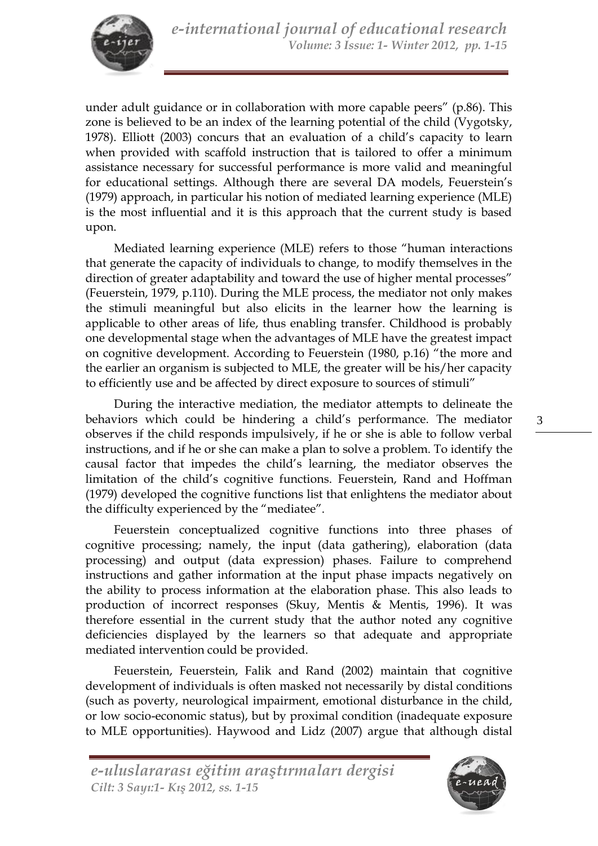

under adult guidance or in collaboration with more capable peers" (p.86). This zone is believed to be an index of the learning potential of the child (Vygotsky, 1978). Elliott (2003) concurs that an evaluation of a child's capacity to learn when provided with scaffold instruction that is tailored to offer a minimum assistance necessary for successful performance is more valid and meaningful for educational settings. Although there are several DA models, Feuerstein's (1979) approach, in particular his notion of mediated learning experience (MLE) is the most influential and it is this approach that the current study is based upon.

Mediated learning experience (MLE) refers to those "human interactions that generate the capacity of individuals to change, to modify themselves in the direction of greater adaptability and toward the use of higher mental processes" (Feuerstein, 1979, p.110). During the MLE process, the mediator not only makes the stimuli meaningful but also elicits in the learner how the learning is applicable to other areas of life, thus enabling transfer. Childhood is probably one developmental stage when the advantages of MLE have the greatest impact on cognitive development. According to Feuerstein (1980, p.16) "the more and the earlier an organism is subjected to MLE, the greater will be his/her capacity to efficiently use and be affected by direct exposure to sources of stimuli"

During the interactive mediation, the mediator attempts to delineate the behaviors which could be hindering a child's performance. The mediator observes if the child responds impulsively, if he or she is able to follow verbal instructions, and if he or she can make a plan to solve a problem. To identify the causal factor that impedes the child's learning, the mediator observes the limitation of the child's cognitive functions. Feuerstein, Rand and Hoffman (1979) developed the cognitive functions list that enlightens the mediator about the difficulty experienced by the "mediatee".

Feuerstein conceptualized cognitive functions into three phases of cognitive processing; namely, the input (data gathering), elaboration (data processing) and output (data expression) phases. Failure to comprehend instructions and gather information at the input phase impacts negatively on the ability to process information at the elaboration phase. This also leads to production of incorrect responses (Skuy, Mentis & Mentis, 1996). It was therefore essential in the current study that the author noted any cognitive deficiencies displayed by the learners so that adequate and appropriate mediated intervention could be provided.

Feuerstein, Feuerstein, Falik and Rand (2002) maintain that cognitive development of individuals is often masked not necessarily by distal conditions (such as poverty, neurological impairment, emotional disturbance in the child, or low socio-economic status), but by proximal condition (inadequate exposure to MLE opportunities). Haywood and Lidz (2007) argue that although distal

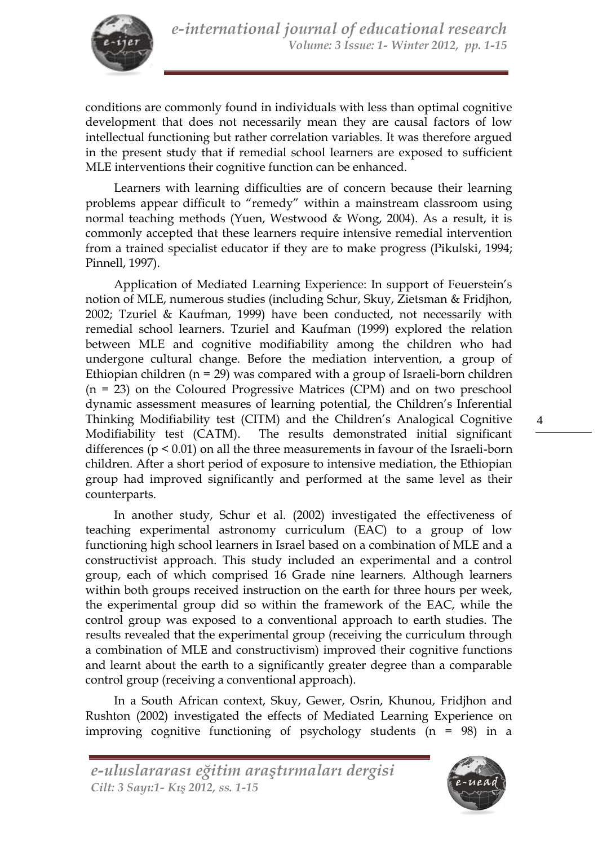

conditions are commonly found in individuals with less than optimal cognitive development that does not necessarily mean they are causal factors of low intellectual functioning but rather correlation variables. It was therefore argued in the present study that if remedial school learners are exposed to sufficient MLE interventions their cognitive function can be enhanced.

Learners with learning difficulties are of concern because their learning problems appear difficult to "remedy" within a mainstream classroom using normal teaching methods (Yuen, Westwood & Wong, 2004). As a result, it is commonly accepted that these learners require intensive remedial intervention from a trained specialist educator if they are to make progress (Pikulski, 1994; Pinnell, 1997).

Application of Mediated Learning Experience: In support of Feuerstein's notion of MLE, numerous studies (including Schur, Skuy, Zietsman & Fridjhon, 2002; Tzuriel & Kaufman, 1999) have been conducted, not necessarily with remedial school learners. Tzuriel and Kaufman (1999) explored the relation between MLE and cognitive modifiability among the children who had undergone cultural change. Before the mediation intervention, a group of Ethiopian children  $(n = 29)$  was compared with a group of Israeli-born children (n = 23) on the Coloured Progressive Matrices (CPM) and on two preschool dynamic assessment measures of learning potential, the Children's Inferential Thinking Modifiability test (CITM) and the Children's Analogical Cognitive Modifiability test (CATM). The results demonstrated initial significant differences ( $p \le 0.01$ ) on all the three measurements in favour of the Israeli-born children. After a short period of exposure to intensive mediation, the Ethiopian group had improved significantly and performed at the same level as their counterparts.

In another study, Schur et al. (2002) investigated the effectiveness of teaching experimental astronomy curriculum (EAC) to a group of low functioning high school learners in Israel based on a combination of MLE and a constructivist approach. This study included an experimental and a control group, each of which comprised 16 Grade nine learners. Although learners within both groups received instruction on the earth for three hours per week, the experimental group did so within the framework of the EAC, while the control group was exposed to a conventional approach to earth studies. The results revealed that the experimental group (receiving the curriculum through a combination of MLE and constructivism) improved their cognitive functions and learnt about the earth to a significantly greater degree than a comparable control group (receiving a conventional approach).

In a South African context, Skuy, Gewer, Osrin, Khunou, Fridjhon and Rushton (2002) investigated the effects of Mediated Learning Experience on improving cognitive functioning of psychology students  $(n = 98)$  in a

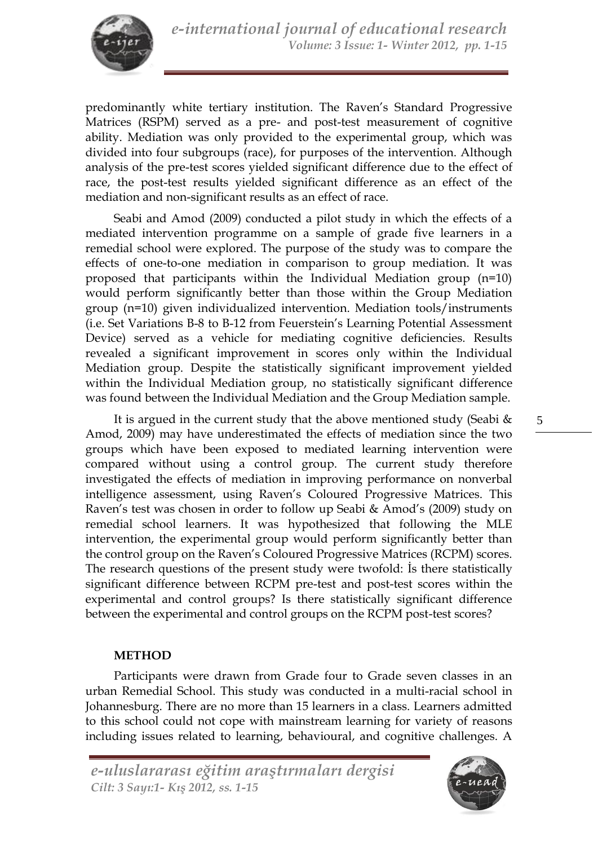

predominantly white tertiary institution. The Raven's Standard Progressive Matrices (RSPM) served as a pre- and post-test measurement of cognitive ability. Mediation was only provided to the experimental group, which was divided into four subgroups (race), for purposes of the intervention. Although analysis of the pre-test scores yielded significant difference due to the effect of race, the post-test results yielded significant difference as an effect of the mediation and non-significant results as an effect of race.

Seabi and Amod (2009) conducted a pilot study in which the effects of a mediated intervention programme on a sample of grade five learners in a remedial school were explored. The purpose of the study was to compare the effects of one-to-one mediation in comparison to group mediation. It was proposed that participants within the Individual Mediation group (n=10) would perform significantly better than those within the Group Mediation group (n=10) given individualized intervention. Mediation tools/instruments (i.e. Set Variations B-8 to B-12 from Feuerstein's Learning Potential Assessment Device) served as a vehicle for mediating cognitive deficiencies. Results revealed a significant improvement in scores only within the Individual Mediation group. Despite the statistically significant improvement yielded within the Individual Mediation group, no statistically significant difference was found between the Individual Mediation and the Group Mediation sample.

It is argued in the current study that the above mentioned study (Seabi & Amod, 2009) may have underestimated the effects of mediation since the two groups which have been exposed to mediated learning intervention were compared without using a control group. The current study therefore investigated the effects of mediation in improving performance on nonverbal intelligence assessment, using Raven's Coloured Progressive Matrices. This Raven's test was chosen in order to follow up Seabi & Amod's (2009) study on remedial school learners. It was hypothesized that following the MLE intervention, the experimental group would perform significantly better than the control group on the Raven's Coloured Progressive Matrices (RCPM) scores. The research questions of the present study were twofold: İs there statistically significant difference between RCPM pre-test and post-test scores within the experimental and control groups? Is there statistically significant difference between the experimental and control groups on the RCPM post-test scores?

### **METHOD**

Participants were drawn from Grade four to Grade seven classes in an urban Remedial School. This study was conducted in a multi-racial school in Johannesburg. There are no more than 15 learners in a class. Learners admitted to this school could not cope with mainstream learning for variety of reasons including issues related to learning, behavioural, and cognitive challenges. A

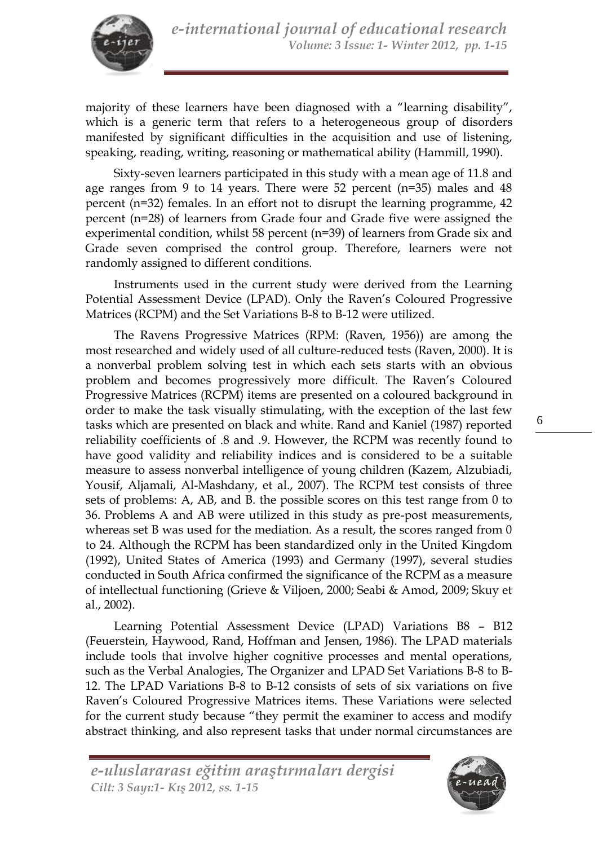

majority of these learners have been diagnosed with a "learning disability", which is a generic term that refers to a heterogeneous group of disorders manifested by significant difficulties in the acquisition and use of listening, speaking, reading, writing, reasoning or mathematical ability (Hammill, 1990).

Sixty-seven learners participated in this study with a mean age of 11.8 and age ranges from 9 to 14 years. There were 52 percent (n=35) males and 48 percent (n=32) females. In an effort not to disrupt the learning programme, 42 percent (n=28) of learners from Grade four and Grade five were assigned the experimental condition, whilst 58 percent (n=39) of learners from Grade six and Grade seven comprised the control group. Therefore, learners were not randomly assigned to different conditions.

Instruments used in the current study were derived from the Learning Potential Assessment Device (LPAD). Only the Raven's Coloured Progressive Matrices (RCPM) and the Set Variations B-8 to B-12 were utilized.

The Ravens Progressive Matrices (RPM: (Raven, 1956)) are among the most researched and widely used of all culture-reduced tests (Raven, 2000). It is a nonverbal problem solving test in which each sets starts with an obvious problem and becomes progressively more difficult. The Raven's Coloured Progressive Matrices (RCPM) items are presented on a coloured background in order to make the task visually stimulating, with the exception of the last few tasks which are presented on black and white. Rand and Kaniel (1987) reported reliability coefficients of .8 and .9. However, the RCPM was recently found to have good validity and reliability indices and is considered to be a suitable measure to assess nonverbal intelligence of young children (Kazem, Alzubiadi, Yousif, Aljamali, Al-Mashdany, et al., 2007). The RCPM test consists of three sets of problems: A, AB, and B. the possible scores on this test range from 0 to 36. Problems A and AB were utilized in this study as pre-post measurements, whereas set B was used for the mediation. As a result, the scores ranged from 0 to 24. Although the RCPM has been standardized only in the United Kingdom (1992), United States of America (1993) and Germany (1997), several studies conducted in South Africa confirmed the significance of the RCPM as a measure of intellectual functioning (Grieve & Viljoen, 2000; Seabi & Amod, 2009; Skuy et al., 2002).

Learning Potential Assessment Device (LPAD) Variations B8 – B12 (Feuerstein, Haywood, Rand, Hoffman and Jensen, 1986). The LPAD materials include tools that involve higher cognitive processes and mental operations, such as the Verbal Analogies, The Organizer and LPAD Set Variations B-8 to B-12. The LPAD Variations B-8 to B-12 consists of sets of six variations on five Raven's Coloured Progressive Matrices items. These Variations were selected for the current study because "they permit the examiner to access and modify abstract thinking, and also represent tasks that under normal circumstances are

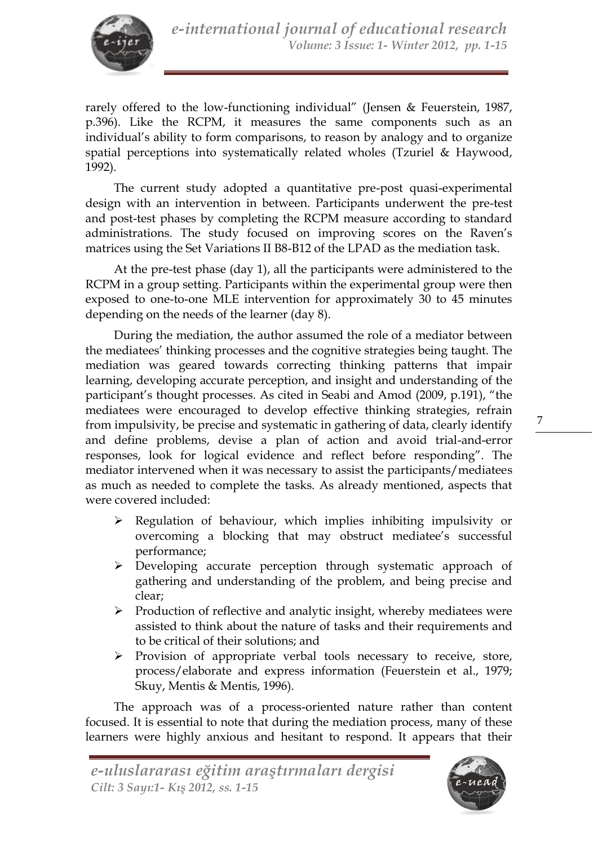

rarely offered to the low-functioning individual" (Jensen & Feuerstein, 1987, p.396). Like the RCPM, it measures the same components such as an individual's ability to form comparisons, to reason by analogy and to organize spatial perceptions into systematically related wholes (Tzuriel & Haywood, 1992).

The current study adopted a quantitative pre-post quasi-experimental design with an intervention in between. Participants underwent the pre-test and post-test phases by completing the RCPM measure according to standard administrations. The study focused on improving scores on the Raven's matrices using the Set Variations II B8-B12 of the LPAD as the mediation task.

At the pre-test phase (day 1), all the participants were administered to the RCPM in a group setting. Participants within the experimental group were then exposed to one-to-one MLE intervention for approximately 30 to 45 minutes depending on the needs of the learner (day 8).

During the mediation, the author assumed the role of a mediator between the mediatees' thinking processes and the cognitive strategies being taught. The mediation was geared towards correcting thinking patterns that impair learning, developing accurate perception, and insight and understanding of the participant's thought processes. As cited in Seabi and Amod (2009, p.191), "the mediatees were encouraged to develop effective thinking strategies, refrain from impulsivity, be precise and systematic in gathering of data, clearly identify and define problems, devise a plan of action and avoid trial-and-error responses, look for logical evidence and reflect before responding". The mediator intervened when it was necessary to assist the participants/mediatees as much as needed to complete the tasks. As already mentioned, aspects that were covered included:

- $\triangleright$  Regulation of behaviour, which implies inhibiting impulsivity or overcoming a blocking that may obstruct mediatee's successful performance;
- Developing accurate perception through systematic approach of gathering and understanding of the problem, and being precise and clear;
- $\triangleright$  Production of reflective and analytic insight, whereby mediatees were assisted to think about the nature of tasks and their requirements and to be critical of their solutions; and
- Provision of appropriate verbal tools necessary to receive, store, process/elaborate and express information (Feuerstein et al., 1979; Skuy, Mentis & Mentis, 1996).

The approach was of a process-oriented nature rather than content focused. It is essential to note that during the mediation process, many of these learners were highly anxious and hesitant to respond. It appears that their

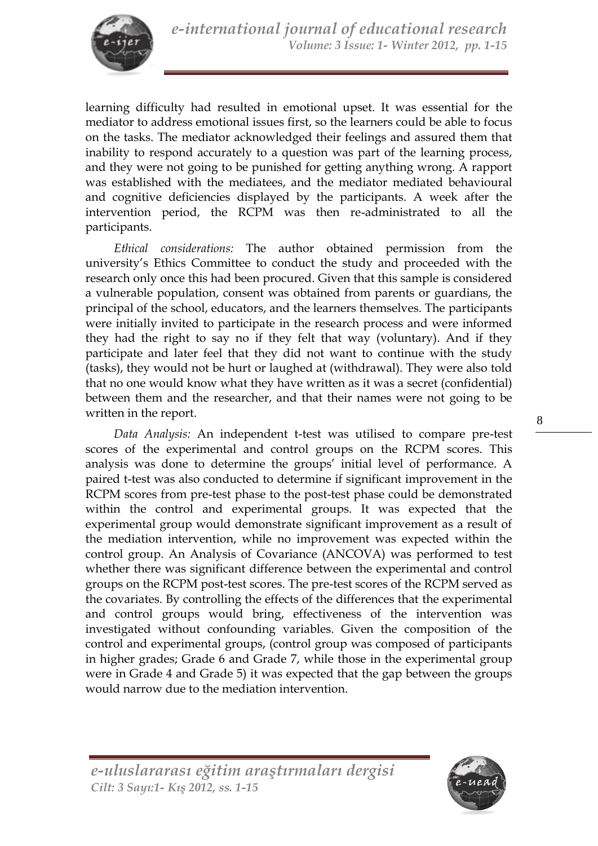learning difficulty had resulted in emotional upset. It was essential for the mediator to address emotional issues first, so the learners could be able to focus on the tasks. The mediator acknowledged their feelings and assured them that inability to respond accurately to a question was part of the learning process, and they were not going to be punished for getting anything wrong. A rapport was established with the mediatees, and the mediator mediated behavioural and cognitive deficiencies displayed by the participants. A week after the intervention period, the RCPM was then re-administrated to all the participants.

*Ethical considerations:* The author obtained permission from the university's Ethics Committee to conduct the study and proceeded with the research only once this had been procured. Given that this sample is considered a vulnerable population, consent was obtained from parents or guardians, the principal of the school, educators, and the learners themselves. The participants were initially invited to participate in the research process and were informed they had the right to say no if they felt that way (voluntary). And if they participate and later feel that they did not want to continue with the study (tasks), they would not be hurt or laughed at (withdrawal). They were also told that no one would know what they have written as it was a secret (confidential) between them and the researcher, and that their names were not going to be written in the report.

*Data Analysis:* An independent t-test was utilised to compare pre-test scores of the experimental and control groups on the RCPM scores. This analysis was done to determine the groups' initial level of performance. A paired t-test was also conducted to determine if significant improvement in the RCPM scores from pre-test phase to the post-test phase could be demonstrated within the control and experimental groups. It was expected that the experimental group would demonstrate significant improvement as a result of the mediation intervention, while no improvement was expected within the control group. An Analysis of Covariance (ANCOVA) was performed to test whether there was significant difference between the experimental and control groups on the RCPM post-test scores. The pre-test scores of the RCPM served as the covariates. By controlling the effects of the differences that the experimental and control groups would bring, effectiveness of the intervention was investigated without confounding variables. Given the composition of the control and experimental groups, (control group was composed of participants in higher grades; Grade 6 and Grade 7, while those in the experimental group were in Grade 4 and Grade 5) it was expected that the gap between the groups would narrow due to the mediation intervention.

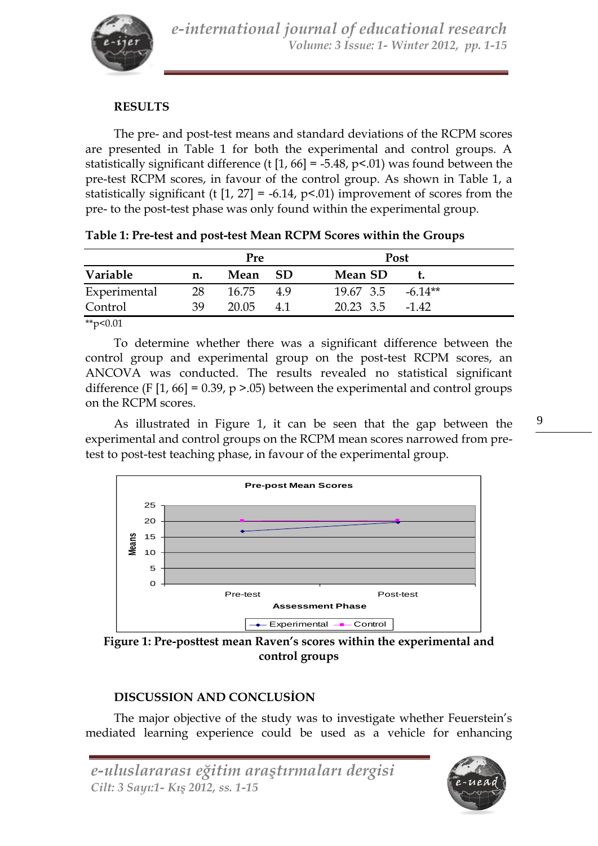

### **RESULTS**

The pre- and post-test means and standard deviations of the RCPM scores are presented in Table 1 for both the experimental and control groups. A statistically significant difference (t  $[1, 66] = -5.48$ , p<.01) was found between the pre-test RCPM scores, in favour of the control group. As shown in Table 1, a statistically significant (t  $[1, 27] = -6.14$ ,  $p<0.01$ ) improvement of scores from the pre- to the post-test phase was only found within the experimental group.

| Mean SD<br>- SD<br>Mean<br>n.<br>28<br>$19.67$ 3.5 $-6.14**$<br>16.75<br>-4.9 | Variable     | <b>Pre</b> |  |  | <b>Post</b> |  |
|-------------------------------------------------------------------------------|--------------|------------|--|--|-------------|--|
|                                                                               |              |            |  |  |             |  |
|                                                                               | Experimental |            |  |  |             |  |
| 39<br>20.05<br>20.23 3.5<br>41<br>-142                                        | Control      |            |  |  |             |  |

**Table 1: Pre-test and post-test Mean RCPM Scores within the Groups**

To determine whether there was a significant difference between the control group and experimental group on the post-test RCPM scores, an ANCOVA was conducted. The results revealed no statistical significant difference (F  $[1, 66] = 0.39$ , p > 0.05) between the experimental and control groups on the RCPM scores.

As illustrated in Figure 1, it can be seen that the gap between the experimental and control groups on the RCPM mean scores narrowed from pretest to post-test teaching phase, in favour of the experimental group.



**Figure 1: Pre-posttest mean Raven's scores within the experimental and control groups**

## **DISCUSSION AND CONCLUSİON**

The major objective of the study was to investigate whether Feuerstein's mediated learning experience could be used as a vehicle for enhancing

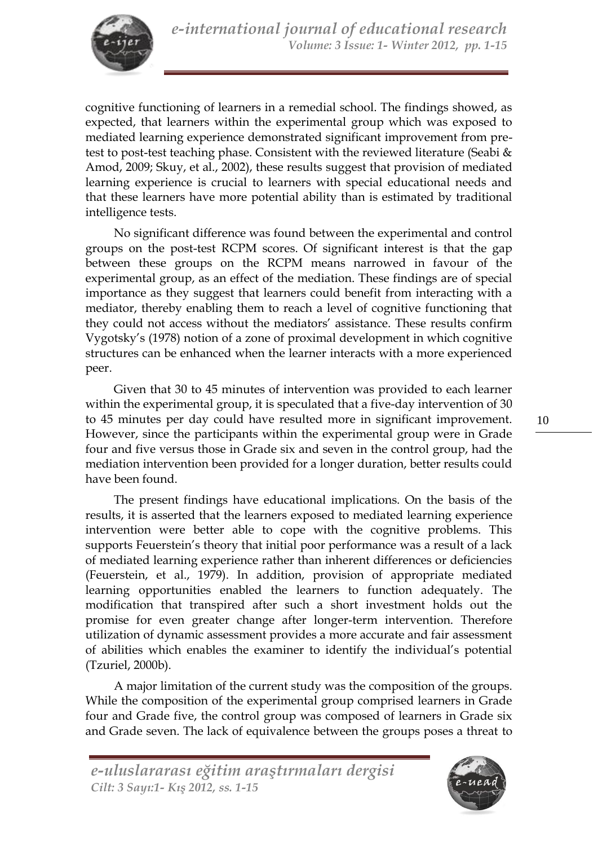cognitive functioning of learners in a remedial school. The findings showed, as expected, that learners within the experimental group which was exposed to mediated learning experience demonstrated significant improvement from pretest to post-test teaching phase. Consistent with the reviewed literature (Seabi & Amod, 2009; Skuy, et al., 2002), these results suggest that provision of mediated learning experience is crucial to learners with special educational needs and that these learners have more potential ability than is estimated by traditional intelligence tests.

No significant difference was found between the experimental and control groups on the post-test RCPM scores. Of significant interest is that the gap between these groups on the RCPM means narrowed in favour of the experimental group, as an effect of the mediation. These findings are of special importance as they suggest that learners could benefit from interacting with a mediator, thereby enabling them to reach a level of cognitive functioning that they could not access without the mediators' assistance. These results confirm Vygotsky's (1978) notion of a zone of proximal development in which cognitive structures can be enhanced when the learner interacts with a more experienced peer.

Given that 30 to 45 minutes of intervention was provided to each learner within the experimental group, it is speculated that a five-day intervention of 30 to 45 minutes per day could have resulted more in significant improvement. However, since the participants within the experimental group were in Grade four and five versus those in Grade six and seven in the control group, had the mediation intervention been provided for a longer duration, better results could have been found.

The present findings have educational implications. On the basis of the results, it is asserted that the learners exposed to mediated learning experience intervention were better able to cope with the cognitive problems. This supports Feuerstein's theory that initial poor performance was a result of a lack of mediated learning experience rather than inherent differences or deficiencies (Feuerstein, et al., 1979). In addition, provision of appropriate mediated learning opportunities enabled the learners to function adequately. The modification that transpired after such a short investment holds out the promise for even greater change after longer-term intervention. Therefore utilization of dynamic assessment provides a more accurate and fair assessment of abilities which enables the examiner to identify the individual's potential (Tzuriel, 2000b).

A major limitation of the current study was the composition of the groups. While the composition of the experimental group comprised learners in Grade four and Grade five, the control group was composed of learners in Grade six and Grade seven. The lack of equivalence between the groups poses a threat to

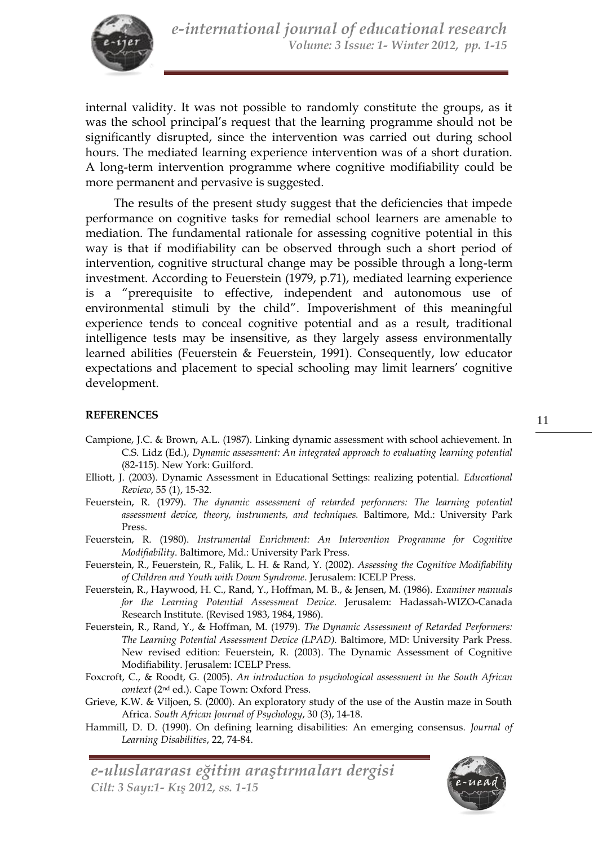

internal validity. It was not possible to randomly constitute the groups, as it was the school principal's request that the learning programme should not be significantly disrupted, since the intervention was carried out during school hours. The mediated learning experience intervention was of a short duration. A long-term intervention programme where cognitive modifiability could be more permanent and pervasive is suggested.

The results of the present study suggest that the deficiencies that impede performance on cognitive tasks for remedial school learners are amenable to mediation. The fundamental rationale for assessing cognitive potential in this way is that if modifiability can be observed through such a short period of intervention, cognitive structural change may be possible through a long-term investment. According to Feuerstein (1979, p.71), mediated learning experience is a "prerequisite to effective, independent and autonomous use of environmental stimuli by the child". Impoverishment of this meaningful experience tends to conceal cognitive potential and as a result, traditional intelligence tests may be insensitive, as they largely assess environmentally learned abilities (Feuerstein & Feuerstein, 1991). Consequently, low educator expectations and placement to special schooling may limit learners' cognitive development.

### **REFERENCES**

- Campione, J.C. & Brown, A.L. (1987). Linking dynamic assessment with school achievement. In C.S. Lidz (Ed.), *Dynamic assessment: An integrated approach to evaluating learning potential* (82-115). New York: Guilford.
- Elliott, J. (2003). Dynamic Assessment in Educational Settings: realizing potential. *Educational Review*, 55 (1), 15-32.
- Feuerstein, R. (1979). *The dynamic assessment of retarded performers: The learning potential assessment device, theory, instruments, and techniques.* Baltimore, Md.: University Park Press.
- Feuerstein, R. (1980). *Instrumental Enrichment: An Intervention Programme for Cognitive Modifiability*. Baltimore, Md.: University Park Press.
- Feuerstein, R., Feuerstein, R., Falik, L. H. & Rand, Y. (2002). *Assessing the Cognitive Modifiability of Children and Youth with Down Syndrome*. Jerusalem: ICELP Press.
- Feuerstein, R., Haywood, H. C., Rand, Y., Hoffman, M. B., & Jensen, M. (1986). *Examiner manuals for the Learning Potential Assessment Device*. Jerusalem: Hadassah-WIZO-Canada Research Institute. (Revised 1983, 1984, 1986).
- Feuerstein, R., Rand, Y., & Hoffman, M. (1979). *The Dynamic Assessment of Retarded Performers: The Learning Potential Assessment Device (LPAD).* Baltimore, MD: University Park Press. New revised edition: Feuerstein, R. (2003). The Dynamic Assessment of Cognitive Modifiability. Jerusalem: ICELP Press.
- Foxcroft, C., & Roodt, G. (2005). *An introduction to psychological assessment in the South African context* (2nd ed.). Cape Town: Oxford Press.
- Grieve, K.W. & Viljoen, S. (2000). An exploratory study of the use of the Austin maze in South Africa. *South African Journal of Psychology*, 30 (3), 14-18.
- Hammill, D. D. (1990). On defining learning disabilities: An emerging consensus. *Journal of Learning Disabilities*, 22, 74-84.

*e-uluslararası eğitim araştırmaları dergisi Cilt: 3 Sayı:1- Kış 2012, ss. 1-15*

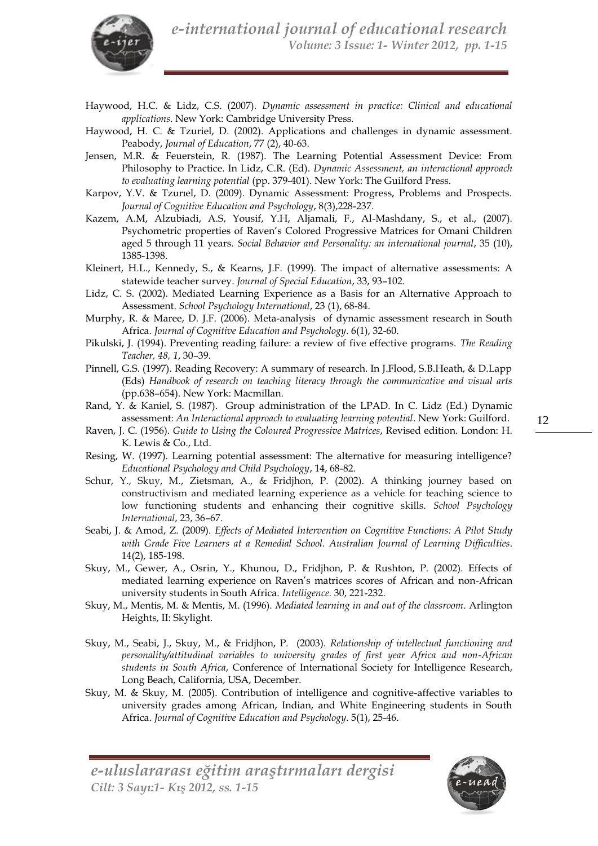

- Haywood, H.C. & Lidz, C.S. (2007). *Dynamic assessment in practice: Clinical and educational applications*. New York: Cambridge University Press.
- Haywood, H. C. & Tzuriel, D. (2002). Applications and challenges in dynamic assessment. Peabody, *Journal of Education*, 77 (2), 40-63.
- Jensen, M.R. & Feuerstein, R. (1987). The Learning Potential Assessment Device: From Philosophy to Practice. In Lidz, C.R. (Ed). *Dynamic Assessment, an interactional approach to evaluating learning potential* (pp. 379-401). New York: The Guilford Press.
- Karpov, Y.V. & Tzurıel, D. (2009). Dynamic Assessment: Progress, Problems and Prospects. *Journal of Cognitive Education and Psychology*, 8(3),228-237.
- Kazem, A.M, Alzubiadi, A.S, Yousif, Y.H, Aljamali, F., Al-Mashdany, S., et al., (2007). Psychometric properties of Raven's Colored Progressive Matrices for Omani Children aged 5 through 11 years. *Social Behavior and Personality: an international journal*, 35 (10), 1385-1398.
- Kleinert, H.L., Kennedy, S., & Kearns, J.F. (1999). The impact of alternative assessments: A statewide teacher survey. *Journal of Special Education*, 33, 93–102.
- Lidz, C. S. (2002). Mediated Learning Experience as a Basis for an Alternative Approach to Assessment. *School Psychology International*, 23 (1), 68-84.
- Murphy, R. & Maree, D. J.F. (2006). Meta-analysis of dynamic assessment research in South Africa. *Journal of Cognitive Education and Psychology*. 6(1), 32-60.
- Pikulski, J. (1994). Preventing reading failure: a review of five effective programs. *The Reading Teacher, 48, 1*, 30–39.
- Pinnell, G.S. (1997). Reading Recovery: A summary of research. In J.Flood, S.B.Heath, & D.Lapp (Eds) *Handbook of research on teaching literacy through the communicative and visual arts* (pp.638–654). New York: Macmillan.
- Rand, Y. & Kaniel, S. (1987). Group administration of the LPAD. In C. Lidz (Ed.) Dynamic assessment: *An Interactional approach to evaluating learning potential*. New York: Guilford.
- Raven, J. C. (1956). *Guide to Using the Coloured Progressive Matrices*, Revised edition. London: H. K. Lewis & Co., Ltd.
- Resing, W. (1997). Learning potential assessment: The alternative for measuring intelligence? *Educational Psychology and Child Psychology*, 14, 68-82.
- Schur, Y., Skuy, M., Zietsman, A., & Fridjhon, P. (2002). A thinking journey based on constructivism and mediated learning experience as a vehicle for teaching science to low functioning students and enhancing their cognitive skills. *School Psychology International*, 23, 36–67.
- Seabi, J. & Amod, Z. (2009). *Effects of Mediated Intervention on Cognitive Functions: A Pilot Study with Grade Five Learners at a Remedial School. Australian Journal of Learning Difficulties*. 14(2), 185-198.
- Skuy, M., Gewer, A., Osrin, Y., Khunou, D., Fridjhon, P. & Rushton, P. (2002). Effects of mediated learning experience on Raven's matrices scores of African and non-African university students in South Africa. *Intelligence.* 30, 221-232.
- Skuy, M., Mentis, M. & Mentis, M. (1996). *Mediated learning in and out of the classroom*. Arlington Heights, II: Skylight.
- Skuy, M., Seabi, J., Skuy, M., & Fridjhon, P. (2003). *Relationship of intellectual functioning and personality/attitudinal variables to university grades of first year Africa and non-African students in South Africa*, Conference of International Society for Intelligence Research, Long Beach, California, USA, December.
- Skuy, M. & Skuy, M. (2005). Contribution of intelligence and cognitive-affective variables to university grades among African, Indian, and White Engineering students in South Africa. *Journal of Cognitive Education and Psychology*. 5(1), 25-46.

*e-uluslararası eğitim araştırmaları dergisi Cilt: 3 Sayı:1- Kış 2012, ss. 1-15*

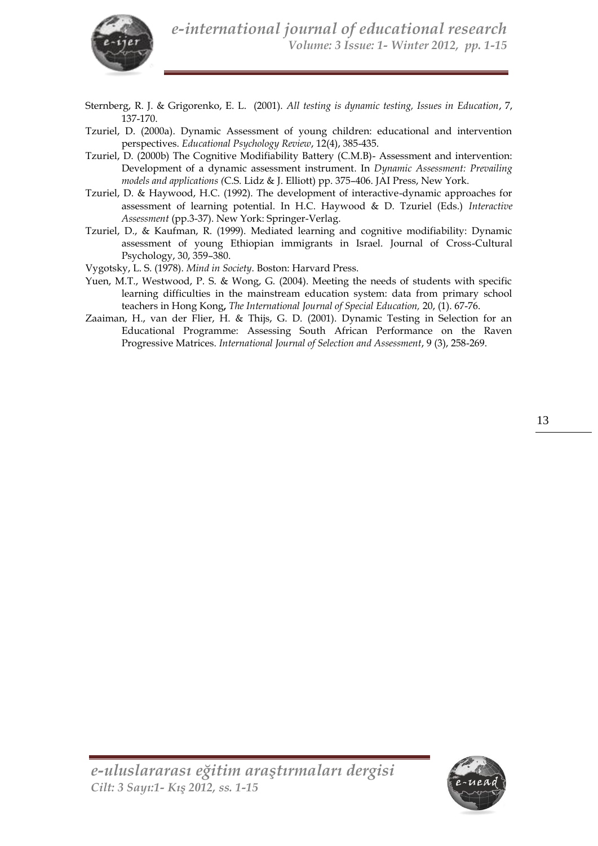

- Sternberg, R. J. & Grigorenko, E. L. (2001). *All testing is dynamic testing, Issues in Education*, 7, 137-170.
- Tzuriel, D. (2000a). Dynamic Assessment of young children: educational and intervention perspectives. *Educational Psychology Review*, 12(4), 385-435.
- Tzuriel, D. (2000b) The Cognitive Modifiability Battery (C.M.B)- Assessment and intervention: Development of a dynamic assessment instrument. In *Dynamic Assessment: Prevailing models and applications (*C.S. Lidz & J. Elliott) pp. 375–406. JAI Press, New York.
- Tzuriel, D. & Haywood, H.C. (1992). The development of interactive-dynamic approaches for assessment of learning potential. In H.C. Haywood & D. Tzuriel (Eds.) *Interactive Assessment* (pp.3-37). New York: Springer-Verlag.
- Tzuriel, D., & Kaufman, R. (1999). Mediated learning and cognitive modifiability: Dynamic assessment of young Ethiopian immigrants in Israel. Journal of Cross-Cultural Psychology, 30, 359–380.

Vygotsky, L. S. (1978). *Mind in Society*. Boston: Harvard Press.

- Yuen, M.T., Westwood, P. S. & Wong, G. (2004). Meeting the needs of students with specific learning difficulties in the mainstream education system: data from primary school teachers in Hong Kong**,** *The International Journal of Special Education,* 20, (1). 67-76.
- Zaaiman, H., van der Flier, H. & Thijs, G. D. (2001). Dynamic Testing in Selection for an Educational Programme: Assessing South African Performance on the Raven Progressive Matrices. *International Journal of Selection and Assessment*, 9 (3), 258-269.

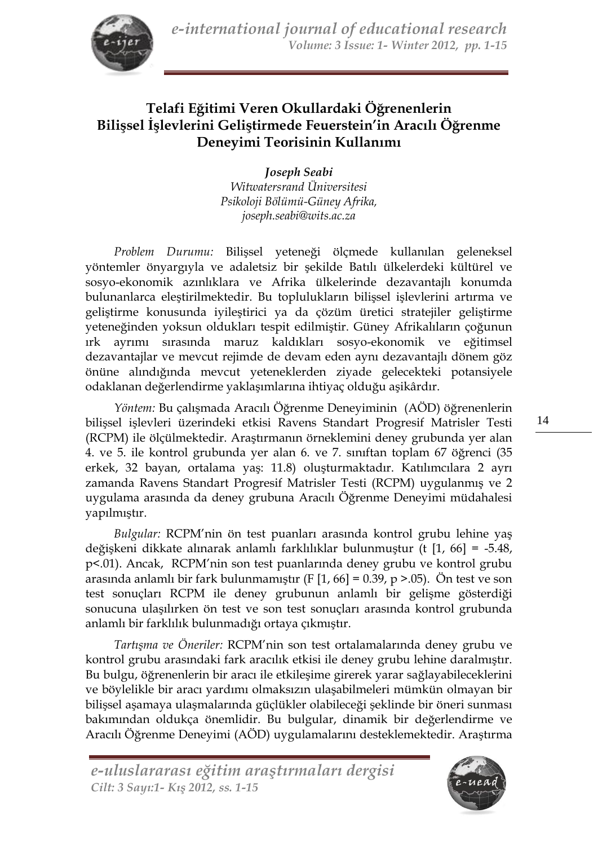

# **Telafi Eğitimi Veren Okullardaki Öğrenenlerin Bilişsel İşlevlerini Geliştirmede Feuerstein'in Aracılı Öğrenme Deneyimi Teorisinin Kullanımı**

*Joseph Seabi Witwatersrand Üniversitesi Psikoloji Bölümü-Güney Afrika, [joseph.seabi@wits.ac.za](mailto:joseph.seabi@wits.ac.za)*

*Problem Durumu:* Bilişsel yeteneği ölçmede kullanılan geleneksel yöntemler önyargıyla ve adaletsiz bir şekilde Batılı ülkelerdeki kültürel ve sosyo-ekonomik azınlıklara ve Afrika ülkelerinde dezavantajlı konumda bulunanlarca eleştirilmektedir. Bu toplulukların bilişsel işlevlerini artırma ve geliştirme konusunda iyileştirici ya da çözüm üretici stratejiler geliştirme yeteneğinden yoksun oldukları tespit edilmiştir. Güney Afrikalıların çoğunun ırk ayrımı sırasında maruz kaldıkları sosyo-ekonomik ve eğitimsel dezavantajlar ve mevcut rejimde de devam eden aynı dezavantajlı dönem göz önüne alındığında mevcut yeteneklerden ziyade gelecekteki potansiyele odaklanan değerlendirme yaklaşımlarına ihtiyaç olduğu aşikârdır.

*Yöntem:* Bu çalışmada Aracılı Öğrenme Deneyiminin (AÖD) öğrenenlerin bilişsel işlevleri üzerindeki etkisi Ravens Standart Progresif Matrisler Testi (RCPM) ile ölçülmektedir. Araştırmanın örneklemini deney grubunda yer alan 4. ve 5. ile kontrol grubunda yer alan 6. ve 7. sınıftan toplam 67 öğrenci (35 erkek, 32 bayan, ortalama yaş: 11.8) oluşturmaktadır. Katılımcılara 2 ayrı zamanda Ravens Standart Progresif Matrisler Testi (RCPM) uygulanmış ve 2 uygulama arasında da deney grubuna Aracılı Öğrenme Deneyimi müdahalesi yapılmıştır.

*Bulgular:* RCPM'nin ön test puanları arasında kontrol grubu lehine yaş değişkeni dikkate alınarak anlamlı farklılıklar bulunmuştur (t [1, 66] = -5.48, p<.01). Ancak, RCPM'nin son test puanlarında deney grubu ve kontrol grubu arasında anlamlı bir fark bulunmamıştır (F  $[1, 66] = 0.39$ , p >.05). Ön test ve son test sonuçları RCPM ile deney grubunun anlamlı bir gelişme gösterdiği sonucuna ulaşılırken ön test ve son test sonuçları arasında kontrol grubunda anlamlı bir farklılık bulunmadığı ortaya çıkmıştır.

*Tartışma ve Öneriler:* RCPM'nin son test ortalamalarında deney grubu ve kontrol grubu arasındaki fark aracılık etkisi ile deney grubu lehine daralmıştır. Bu bulgu, öğrenenlerin bir aracı ile etkileşime girerek yarar sağlayabileceklerini ve böylelikle bir aracı yardımı olmaksızın ulaşabilmeleri mümkün olmayan bir bilişsel aşamaya ulaşmalarında güçlükler olabileceği şeklinde bir öneri sunması bakımından oldukça önemlidir. Bu bulgular, dinamik bir değerlendirme ve Aracılı Öğrenme Deneyimi (AÖD) uygulamalarını desteklemektedir. Araştırma